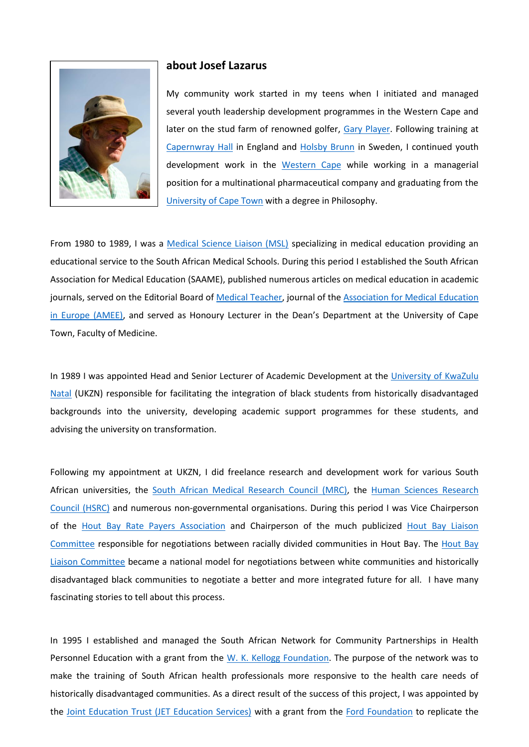

## **about Josef Lazarus**

My community work started in my teens when I initiated and managed several youth leadership development programmes in the Western Cape and later on the stud farm of renowned golfer, [Gary Player.](https://en.wikipedia.org/wiki/Gary_Player) Following training at [Capernwray](https://en.wikipedia.org/wiki/Capernwray_Hall) Hall in England and [Holsby Brunn](https://www.google.co.za/search?q=holsby+brunn&biw=1366&bih=575&tbm=isch&tbo=u&source=univ&sa=X&ved=0CEUQsARqFQoTCPmnx_mWmskCFcRrFAodWdEMfw&dpr=1) in Sweden, I continued youth development work in the [Western Cape](https://en.wikipedia.org/wiki/Western_Cape) while working in a managerial position for a multinational pharmaceutical company and graduating from the [University of Cape Town](http://www.uct.ac.za/) with a degree in Philosophy.

From 1980 to 1989, I was a [Medical Science Liaison \(MSL\)](http://www.themsls.org/what-is-an-msl) specializing in medical education providing an educational service to the South African Medical Schools. During this period I established the South African Association for Medical Education (SAAME), published numerous articles on medical education in academic journals, served on the Editorial Board of [Medical Teacher,](http://www.medicalteacher.org/) journal of the Association for Medical Education [in Europe \(AMEE\),](https://www.amee.org/home) and served as Honoury Lecturer in the Dean's Department at the University of Cape Town, Faculty of Medicine.

In 1989 I was appointed Head and Senior Lecturer of Academic Development at the [University of KwaZulu](http://www.ukzn.ac.za/)  [Natal](http://www.ukzn.ac.za/) (UKZN) responsible for facilitating the integration of black students from historically disadvantaged backgrounds into the university, developing academic support programmes for these students, and advising the university on transformation.

Following my appointment at UKZN, I did freelance research and development work for various South African universities, the [South African Medical Research Council \(MRC\),](http://www.mrc.ac.za/) the [Human Sciences Research](http://www.hsrc.ac.za/en)  [Council \(HSRC\)](http://www.hsrc.ac.za/en) and numerous non-governmental organisations. During this period I was Vice Chairperson of the [Hout Bay Rate Payers Association](http://www.houtbay.org.za/) and Chairperson of the much publicized [Hout Bay Liaison](http://www.csmonitor.com/1993/0119/19101.html)  [Committee](http://www.csmonitor.com/1993/0119/19101.html) responsible for negotiations between racially divided communities in Hout Bay. The [Hout Bay](http://www.csmonitor.com/1993/0119/19101.html)  [Liaison Committee](http://www.csmonitor.com/1993/0119/19101.html) became a national model for negotiations between white communities and historically disadvantaged black communities to negotiate a better and more integrated future for all. I have many fascinating stories to tell about this process.

In 1995 I established and managed the South African Network for Community Partnerships in Health Personnel Education with a grant from the [W. K. Kellogg Foundation.](https://www.wkkf.org/) The purpose of the network was to make the training of South African health professionals more responsive to the health care needs of historically disadvantaged communities. As a direct result of the success of this project, I was appointed by the [Joint Education Trust \(JET Education Services\)](http://www.jet.org.za/) with a grant from the [Ford Foundation](https://www.fordfoundation.org/) to replicate the